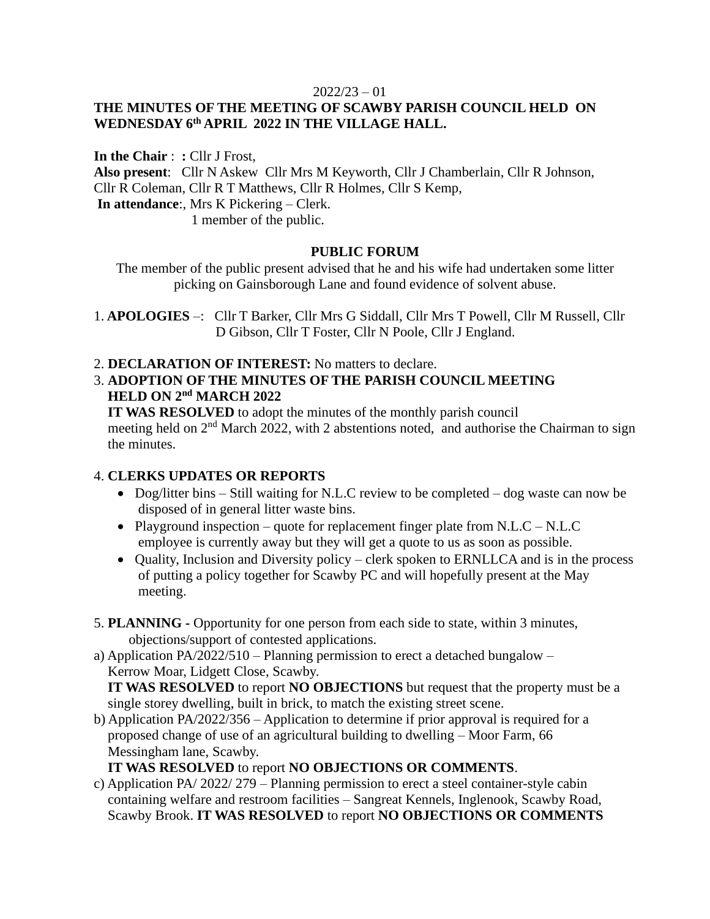#### $2022/23 - 01$

# **THE MINUTES OF THE MEETING OF SCAWBY PARISH COUNCIL HELD ON WEDNESDAY 6 th APRIL 2022 IN THE VILLAGE HALL.**

**In the Chair** : **:** Cllr J Frost, **Also present**: Cllr N Askew Cllr Mrs M Keyworth, Cllr J Chamberlain, Cllr R Johnson, Cllr R Coleman, Cllr R T Matthews, Cllr R Holmes, Cllr S Kemp, **In attendance**:, Mrs K Pickering – Clerk. 1 member of the public.

### **PUBLIC FORUM**

The member of the public present advised that he and his wife had undertaken some litter picking on Gainsborough Lane and found evidence of solvent abuse.

1. **APOLOGIES** –: Cllr T Barker, Cllr Mrs G Siddall, Cllr Mrs T Powell, Cllr M Russell, Cllr D Gibson, Cllr T Foster, Cllr N Poole, Cllr J England.

- 2. **DECLARATION OF INTEREST:** No matters to declare.
- 3. **ADOPTION OF THE MINUTES OF THE PARISH COUNCIL MEETING HELD ON**  $2^{nd}$  **MARCH** 2022

 **IT WAS RESOLVED** to adopt the minutes of the monthly parish council meeting held on  $2<sup>nd</sup>$  March 2022, with 2 abstentions noted, and authorise the Chairman to sign the minutes.

#### 4. **CLERKS UPDATES OR REPORTS**

- Dog/litter bins Still waiting for N.L.C review to be completed dog waste can now be disposed of in general litter waste bins.
- Playground inspection quote for replacement finger plate from  $N.L.C N.L.C$ employee is currently away but they will get a quote to us as soon as possible.
- Quality, Inclusion and Diversity policy clerk spoken to ERNLLCA and is in the process of putting a policy together for Scawby PC and will hopefully present at the May meeting.
- 5. **PLANNING -** Opportunity for one person from each side to state, within 3 minutes, objections/support of contested applications.

a) Application PA/2022/510 – Planning permission to erect a detached bungalow – Kerrow Moar, Lidgett Close, Scawby.

 **IT WAS RESOLVED** to report **NO OBJECTIONS** but request that the property must be a single storey dwelling, built in brick, to match the existing street scene.

b) Application PA/2022/356 – Application to determine if prior approval is required for a proposed change of use of an agricultural building to dwelling – Moor Farm, 66 Messingham lane, Scawby.

 **IT WAS RESOLVED** to report **NO OBJECTIONS OR COMMENTS**.

c) Application PA/ 2022/ 279 – Planning permission to erect a steel container-style cabin containing welfare and restroom facilities – Sangreat Kennels, Inglenook, Scawby Road, Scawby Brook. **IT WAS RESOLVED** to report **NO OBJECTIONS OR COMMENTS**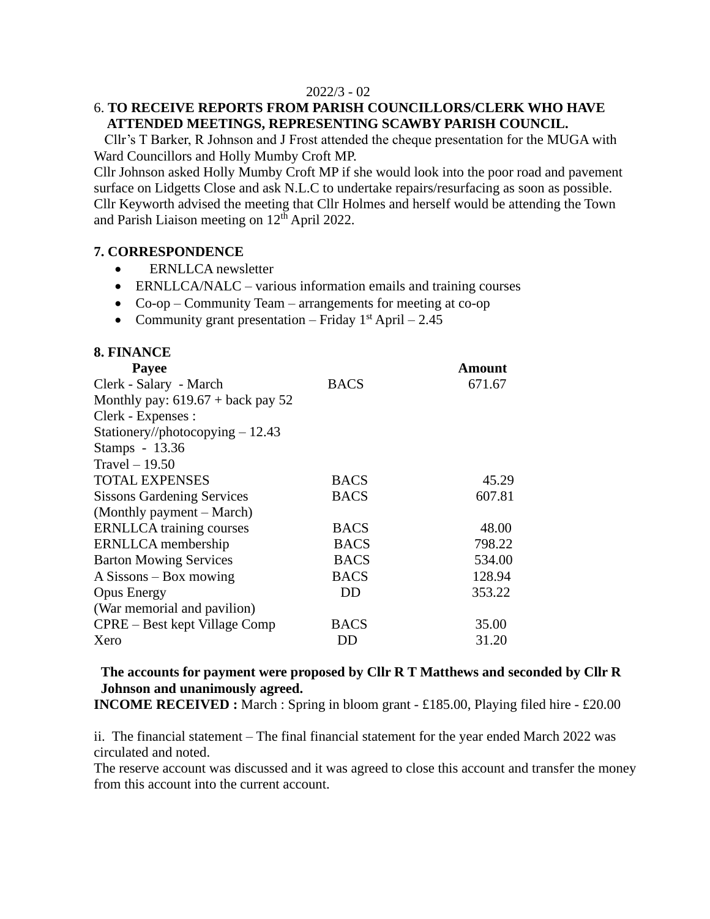#### 2022/3 - 02

### 6. **TO RECEIVE REPORTS FROM PARISH COUNCILLORS/CLERK WHO HAVE ATTENDED MEETINGS, REPRESENTING SCAWBY PARISH COUNCIL.**

 Cllr's T Barker, R Johnson and J Frost attended the cheque presentation for the MUGA with Ward Councillors and Holly Mumby Croft MP.

Cllr Johnson asked Holly Mumby Croft MP if she would look into the poor road and pavement surface on Lidgetts Close and ask N.L.C to undertake repairs/resurfacing as soon as possible. Cllr Keyworth advised the meeting that Cllr Holmes and herself would be attending the Town and Parish Liaison meeting on  $12<sup>th</sup>$  April 2022.

#### **7. CORRESPONDENCE**

- ERNLLCA newsletter
- ERNLLCA/NALC various information emails and training courses
- Co-op Community Team arrangements for meeting at co-op
- Community grant presentation Friday  $1<sup>st</sup>$  April 2.45

### **8. FINANCE**

| <b>Payee</b>                                |             | Amount |
|---------------------------------------------|-------------|--------|
| Clerk - Salary - March                      | <b>BACS</b> | 671.67 |
| Monthly pay: $619.67 + \text{back pay } 52$ |             |        |
| Clerk - Expenses :                          |             |        |
| Stationery//photocopying $-12.43$           |             |        |
| Stamps - 13.36                              |             |        |
| Travel $-19.50$                             |             |        |
| <b>TOTAL EXPENSES</b>                       | <b>BACS</b> | 45.29  |
| <b>Sissons Gardening Services</b>           | <b>BACS</b> | 607.81 |
| (Monthly payment – March)                   |             |        |
| <b>ERNLLCA</b> training courses             | <b>BACS</b> | 48.00  |
| ERNLLCA membership                          | <b>BACS</b> | 798.22 |
| <b>Barton Mowing Services</b>               | <b>BACS</b> | 534.00 |
| $A$ Sissons – Box mowing                    | <b>BACS</b> | 128.94 |
| <b>Opus Energy</b>                          | DD          | 353.22 |
| (War memorial and pavilion)                 |             |        |
| CPRE – Best kept Village Comp               | BACS        | 35.00  |
| Xero                                        | DD          | 31.20  |

#### **The accounts for payment were proposed by Cllr R T Matthews and seconded by Cllr R Johnson and unanimously agreed.**

**INCOME RECEIVED :** March : Spring in bloom grant - £185.00, Playing filed hire - £20.00

ii. The financial statement – The final financial statement for the year ended March 2022 was circulated and noted.

The reserve account was discussed and it was agreed to close this account and transfer the money from this account into the current account.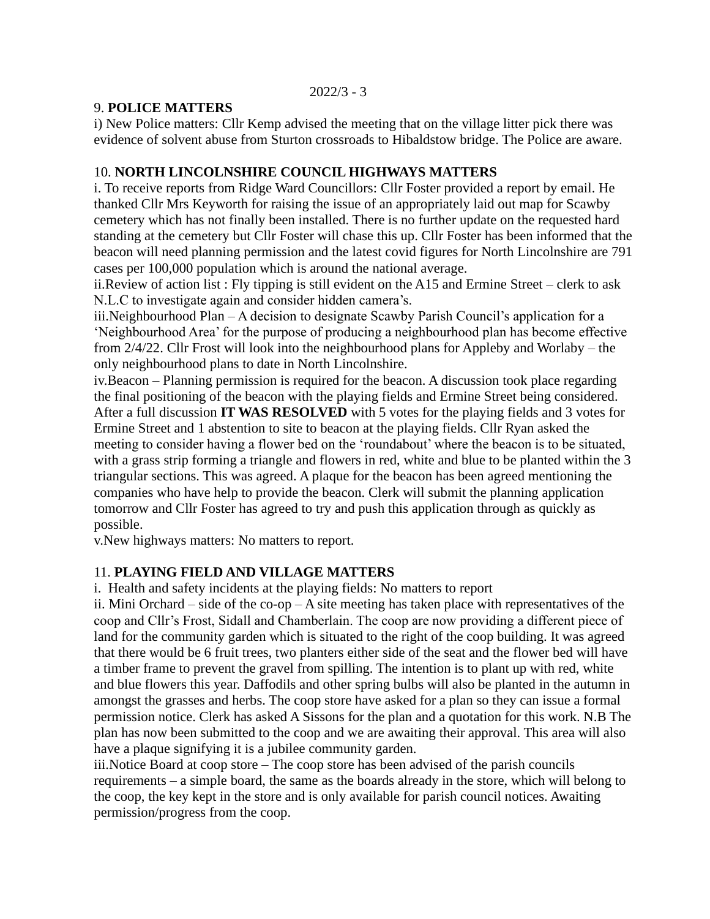$2022/3 - 3$ 

### 9. **POLICE MATTERS**

i) New Police matters: Cllr Kemp advised the meeting that on the village litter pick there was evidence of solvent abuse from Sturton crossroads to Hibaldstow bridge. The Police are aware.

# 10. **NORTH LINCOLNSHIRE COUNCIL HIGHWAYS MATTERS**

i. To receive reports from Ridge Ward Councillors: Cllr Foster provided a report by email. He thanked Cllr Mrs Keyworth for raising the issue of an appropriately laid out map for Scawby cemetery which has not finally been installed. There is no further update on the requested hard standing at the cemetery but Cllr Foster will chase this up. Cllr Foster has been informed that the beacon will need planning permission and the latest covid figures for North Lincolnshire are 791 cases per 100,000 population which is around the national average.

ii.Review of action list : Fly tipping is still evident on the A15 and Ermine Street – clerk to ask N.L.C to investigate again and consider hidden camera's.

iii.Neighbourhood Plan – A decision to designate Scawby Parish Council's application for a 'Neighbourhood Area' for the purpose of producing a neighbourhood plan has become effective from 2/4/22. Cllr Frost will look into the neighbourhood plans for Appleby and Worlaby – the only neighbourhood plans to date in North Lincolnshire.

iv.Beacon – Planning permission is required for the beacon. A discussion took place regarding the final positioning of the beacon with the playing fields and Ermine Street being considered. After a full discussion **IT WAS RESOLVED** with 5 votes for the playing fields and 3 votes for Ermine Street and 1 abstention to site to beacon at the playing fields. Cllr Ryan asked the meeting to consider having a flower bed on the 'roundabout' where the beacon is to be situated, with a grass strip forming a triangle and flowers in red, white and blue to be planted within the 3 triangular sections. This was agreed. A plaque for the beacon has been agreed mentioning the companies who have help to provide the beacon. Clerk will submit the planning application tomorrow and Cllr Foster has agreed to try and push this application through as quickly as possible.

v.New highways matters: No matters to report.

# 11. **PLAYING FIELD AND VILLAGE MATTERS**

i. Health and safety incidents at the playing fields: No matters to report

ii. Mini Orchard – side of the co-op – A site meeting has taken place with representatives of the coop and Cllr's Frost, Sidall and Chamberlain. The coop are now providing a different piece of land for the community garden which is situated to the right of the coop building. It was agreed that there would be 6 fruit trees, two planters either side of the seat and the flower bed will have a timber frame to prevent the gravel from spilling. The intention is to plant up with red, white and blue flowers this year. Daffodils and other spring bulbs will also be planted in the autumn in amongst the grasses and herbs. The coop store have asked for a plan so they can issue a formal permission notice. Clerk has asked A Sissons for the plan and a quotation for this work. N.B The plan has now been submitted to the coop and we are awaiting their approval. This area will also have a plaque signifying it is a jubilee community garden.

iii.Notice Board at coop store – The coop store has been advised of the parish councils requirements – a simple board, the same as the boards already in the store, which will belong to the coop, the key kept in the store and is only available for parish council notices. Awaiting permission/progress from the coop.